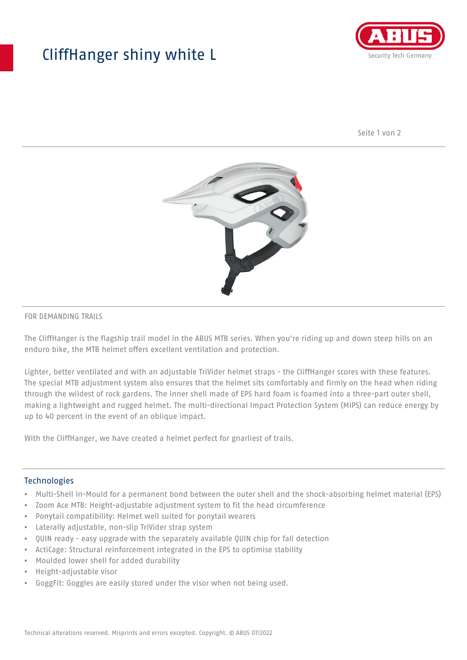## CliffHanger shiny white L



Seite 1 von 2



## FOR DEMANDING TRAILS

The CliffHanger is the flagship trail model in the ABUS MTB series. When you're riding up and down steep hills on an enduro bike, the MTB helmet offers excellent ventilation and protection.

Lighter, better ventilated and with an adjustable TriVider helmet straps - the CliffHanger scores with these features. The special MTB adjustment system also ensures that the helmet sits comfortably and firmly on the head when riding through the wildest of rock gardens. The inner shell made of EPS hard foam is foamed into a three-part outer shell, making a lightweight and rugged helmet. The multi-directional Impact Protection System (MIPS) can reduce energy by up to 40 percent in the event of an oblique impact.

With the CliffHanger, we have created a helmet perfect for gnarliest of trails.

## Technologies

- Multi-Shell In-Mould for a permanent bond between the outer shell and the shock-absorbing helmet material (EPS)
- Zoom Ace MTB: Height-adjustable adjustment system to fit the head circumference
- Ponytail compatibility: Helmet well suited for ponytail wearers
- Laterally adjustable, non-slip TriVider strap system
- QUIN ready easy upgrade with the separately available QUIN chip for fall detection
- ActiCage: Structural reinforcement integrated in the EPS to optimise stability
- Moulded lower shell for added durability
- Height-adjustable visor
- GoggFit: Goggles are easily stored under the visor when not being used.